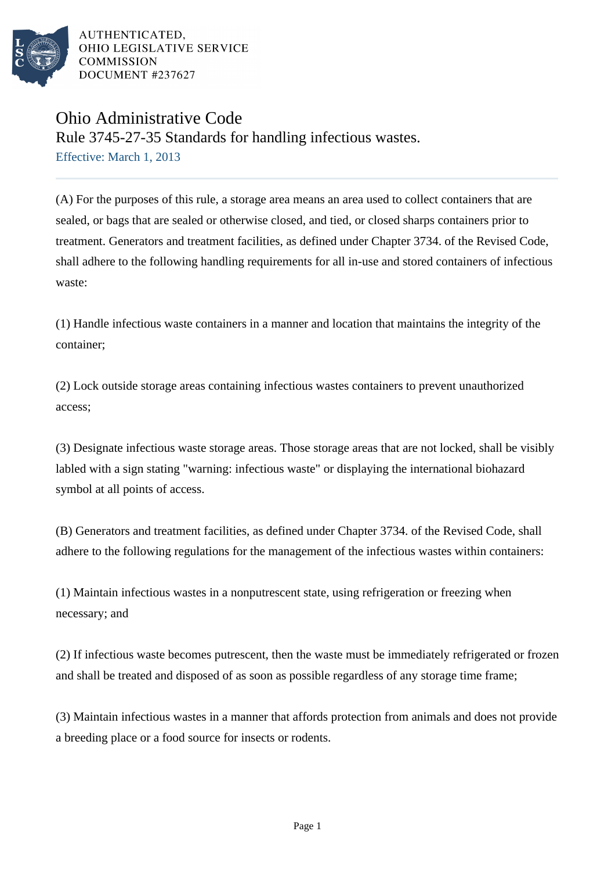

AUTHENTICATED. OHIO LEGISLATIVE SERVICE **COMMISSION** DOCUMENT #237627

## Ohio Administrative Code Rule 3745-27-35 Standards for handling infectious wastes. Effective: March 1, 2013

(A) For the purposes of this rule, a storage area means an area used to collect containers that are sealed, or bags that are sealed or otherwise closed, and tied, or closed sharps containers prior to treatment. Generators and treatment facilities, as defined under Chapter 3734. of the Revised Code, shall adhere to the following handling requirements for all in-use and stored containers of infectious waste:

(1) Handle infectious waste containers in a manner and location that maintains the integrity of the container;

(2) Lock outside storage areas containing infectious wastes containers to prevent unauthorized access;

(3) Designate infectious waste storage areas. Those storage areas that are not locked, shall be visibly labled with a sign stating "warning: infectious waste" or displaying the international biohazard symbol at all points of access.

(B) Generators and treatment facilities, as defined under Chapter 3734. of the Revised Code, shall adhere to the following regulations for the management of the infectious wastes within containers:

(1) Maintain infectious wastes in a nonputrescent state, using refrigeration or freezing when necessary; and

(2) If infectious waste becomes putrescent, then the waste must be immediately refrigerated or frozen and shall be treated and disposed of as soon as possible regardless of any storage time frame;

(3) Maintain infectious wastes in a manner that affords protection from animals and does not provide a breeding place or a food source for insects or rodents.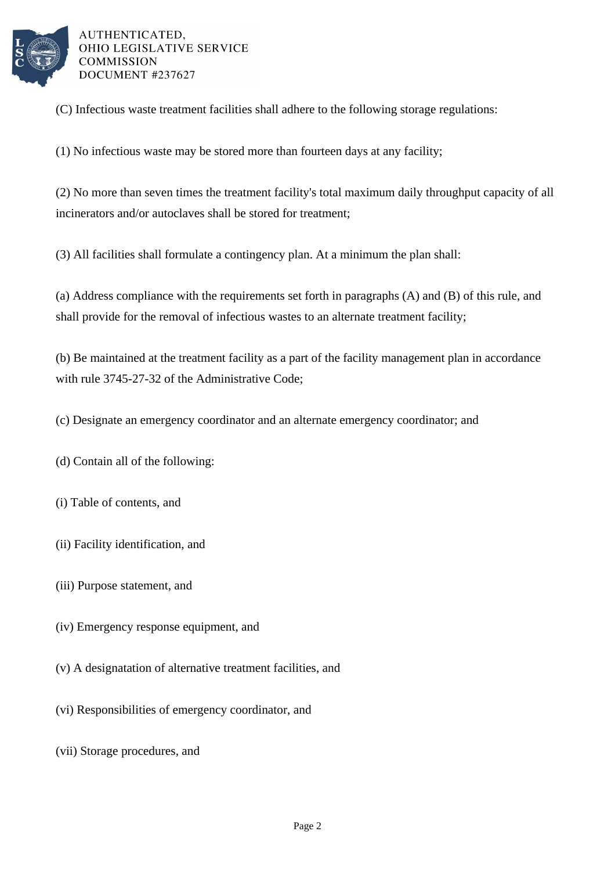

AUTHENTICATED, OHIO LEGISLATIVE SERVICE **COMMISSION** DOCUMENT #237627

(C) Infectious waste treatment facilities shall adhere to the following storage regulations:

(1) No infectious waste may be stored more than fourteen days at any facility;

(2) No more than seven times the treatment facility's total maximum daily throughput capacity of all incinerators and/or autoclaves shall be stored for treatment;

(3) All facilities shall formulate a contingency plan. At a minimum the plan shall:

(a) Address compliance with the requirements set forth in paragraphs (A) and (B) of this rule, and shall provide for the removal of infectious wastes to an alternate treatment facility;

(b) Be maintained at the treatment facility as a part of the facility management plan in accordance with rule 3745-27-32 of the Administrative Code;

(c) Designate an emergency coordinator and an alternate emergency coordinator; and

(d) Contain all of the following:

- (i) Table of contents, and
- (ii) Facility identification, and
- (iii) Purpose statement, and
- (iv) Emergency response equipment, and
- (v) A designatation of alternative treatment facilities, and
- (vi) Responsibilities of emergency coordinator, and
- (vii) Storage procedures, and